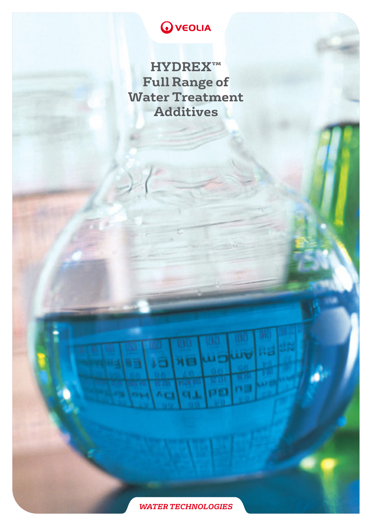# **O** VEOLIA

**HYDREX™ Full Range of Water Treatment Additives**

**LIVE** 

n El

**ME** 

oо

ÄЕ

CT.

כו

Ac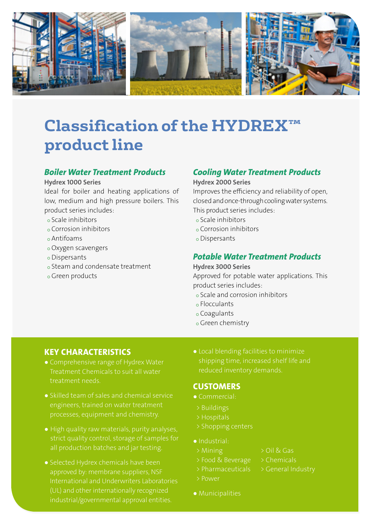

# **Classification of the HYDREX™ product line**

# *Boiler Water Treatment Products*

#### Hydrex 1000 Series

Ideal for boiler and heating applications of low, medium and high pressure boilers. This product series includes:

- Scale inhibitors
- Corrosion inhibitors
- Antifoams
- Oxygen scavengers
- Dispersants
- Steam and condensate treatment
- Green products

# *Cooling Water Treatment Products*

#### Hydrex 2000 Series

Improves the efficiency and reliability of open, closed and once-through cooling water systems. This product series includes:

- Scale inhibitors
- Corrosion inhibitors
- Dispersants

## *Potable Water Treatment Products*

#### Hydrex 3000 Series

Approved for potable water applications. This product series includes:

- Scale and corrosion inhibitors
- Flocculants
- Coagulants
- Green chemistry

# KEY CHARACTERISTICS

- Comprehensive range of Hydrex Water Treatment Chemicals to suit all water treatment needs.
- Skilled team of sales and chemical service engineers, trained on water treatment processes, equipment and chemistry.
- High quality raw materials, purity analyses, strict quality control, storage of samples for all production batches and jar testing.
- Selected Hydrex chemicals have been approved by: membrane suppliers, NSF International and Underwriters Laboratories (UL) and other internationally recognized industrial/governmental approval entities.

● Local blending facilities to minimize shipping time, increased shelf life and

## **CUSTOMERS**

- Commercial:
- > Buildings
- > Hospitals
- > Shopping centers
- Industrial:
- > Mining > Oil & Gas
- > Food & Beverage > Chemicals
	-
- > Power
- 
- 
- 
- Municipalities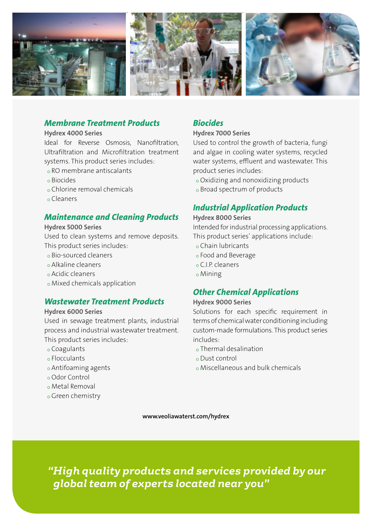

## *Membrane Treatment Products*

#### Hydrex 4000 Series

Ideal for Reverse Osmosis, Nanofiltration, Ultrafiltration and Microfiltration treatment systems. This product series includes:

- RO membrane antiscalants
- Biocides
- Chlorine removal chemicals
- Cleaners

## *Maintenance and Cleaning Products*

#### Hydrex 5000 Series

Used to clean systems and remove deposits. This product series includes:

- Bio-sourced cleaners
- Alkaline cleaners
- Acidic cleaners
- Mixed chemicals application

## *Wastewater Treatment Products*

### Hydrex 6000 Series

Used in sewage treatment plants, industrial process and industrial wastewater treatment. This product series includes:

- Coagulants
- Flocculants
- Antifoaming agents
- Odor Control
- Metal Removal
- Green chemistry

## *Biocides*

#### Hydrex 7000 Series

Used to control the growth of bacteria, fungi and algae in cooling water systems, recycled water systems, effluent and wastewater. This product series includes:

- Oxidizing and nonoxidizing products
- o Broad spectrum of products

## *Industrial Application Products*

### Hydrex 8000 Series

Intended for industrial processing applications. This product series' applications include:

- Chain lubricants
- Food and Beverage
- C.I.P. cleaners
- Mining

# *Other Chemical Applications*

#### Hydrex 9000 Series

Solutions for each specific requirement in terms of chemical water conditioning including custom-made formulations. This product series includes:

- Thermal desalination
- Dust control
- Miscellaneous and bulk chemicals

www.veoliawaterst.com/hydrex

*"High quality products and services provided by our global team of experts located near you"*